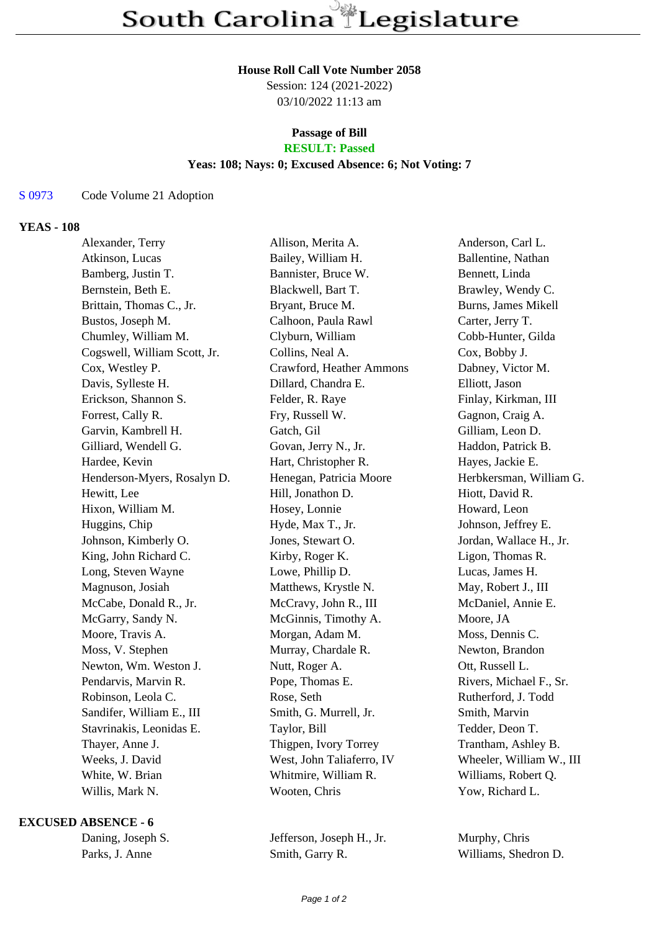#### **House Roll Call Vote Number 2058**

Session: 124 (2021-2022) 03/10/2022 11:13 am

# **Passage of Bill**

# **RESULT: Passed**

## **Yeas: 108; Nays: 0; Excused Absence: 6; Not Voting: 7**

S 0973 Code Volume 21 Adoption

#### **YEAS - 108**

| Alexander, Terry             | Allison, Merita A.        | Anderson, Carl L.        |
|------------------------------|---------------------------|--------------------------|
| Atkinson, Lucas              | Bailey, William H.        | Ballentine, Nathan       |
| Bamberg, Justin T.           | Bannister, Bruce W.       | Bennett, Linda           |
| Bernstein, Beth E.           | Blackwell, Bart T.        | Brawley, Wendy C.        |
| Brittain, Thomas C., Jr.     | Bryant, Bruce M.          | Burns, James Mikell      |
| Bustos, Joseph M.            | Calhoon, Paula Rawl       | Carter, Jerry T.         |
| Chumley, William M.          | Clyburn, William          | Cobb-Hunter, Gilda       |
| Cogswell, William Scott, Jr. | Collins, Neal A.          | Cox, Bobby J.            |
| Cox, Westley P.              | Crawford, Heather Ammons  | Dabney, Victor M.        |
| Davis, Sylleste H.           | Dillard, Chandra E.       | Elliott, Jason           |
| Erickson, Shannon S.         | Felder, R. Raye           | Finlay, Kirkman, III     |
| Forrest, Cally R.            | Fry, Russell W.           | Gagnon, Craig A.         |
| Garvin, Kambrell H.          | Gatch, Gil                | Gilliam, Leon D.         |
| Gilliard, Wendell G.         | Govan, Jerry N., Jr.      | Haddon, Patrick B.       |
| Hardee, Kevin                | Hart, Christopher R.      | Hayes, Jackie E.         |
| Henderson-Myers, Rosalyn D.  | Henegan, Patricia Moore   | Herbkersman, William G.  |
| Hewitt, Lee                  | Hill, Jonathon D.         | Hiott, David R.          |
| Hixon, William M.            | Hosey, Lonnie             | Howard, Leon             |
| Huggins, Chip                | Hyde, Max T., Jr.         | Johnson, Jeffrey E.      |
| Johnson, Kimberly O.         | Jones, Stewart O.         | Jordan, Wallace H., Jr.  |
| King, John Richard C.        | Kirby, Roger K.           | Ligon, Thomas R.         |
| Long, Steven Wayne           | Lowe, Phillip D.          | Lucas, James H.          |
| Magnuson, Josiah             | Matthews, Krystle N.      | May, Robert J., III      |
| McCabe, Donald R., Jr.       | McCravy, John R., III     | McDaniel, Annie E.       |
| McGarry, Sandy N.            | McGinnis, Timothy A.      | Moore, JA                |
| Moore, Travis A.             | Morgan, Adam M.           | Moss, Dennis C.          |
| Moss, V. Stephen             | Murray, Chardale R.       | Newton, Brandon          |
| Newton, Wm. Weston J.        | Nutt, Roger A.            | Ott, Russell L.          |
| Pendarvis, Marvin R.         | Pope, Thomas E.           | Rivers, Michael F., Sr.  |
| Robinson, Leola C.           | Rose, Seth                | Rutherford, J. Todd      |
| Sandifer, William E., III    | Smith, G. Murrell, Jr.    | Smith, Marvin            |
| Stavrinakis, Leonidas E.     | Taylor, Bill              | Tedder, Deon T.          |
| Thayer, Anne J.              | Thigpen, Ivory Torrey     | Trantham, Ashley B.      |
| Weeks, J. David              | West, John Taliaferro, IV | Wheeler, William W., III |
| White, W. Brian              | Whitmire, William R.      | Williams, Robert Q.      |
| Willis, Mark N.              | Wooten, Chris             | Yow, Richard L.          |
|                              |                           |                          |

### **EXCUSED ABSENCE - 6**

Daning, Joseph S. Jefferson, Joseph H., Jr. Murphy, Chris Parks, J. Anne Smith, Garry R. Williams, Shedron D.